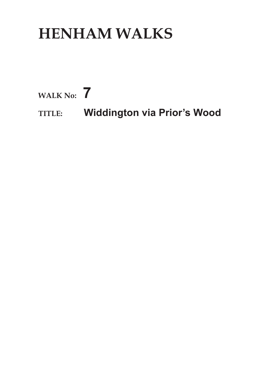## **HENHAM WALKS**

**WALK No: 7**

**TITLE: Widdington via Prior's Wood**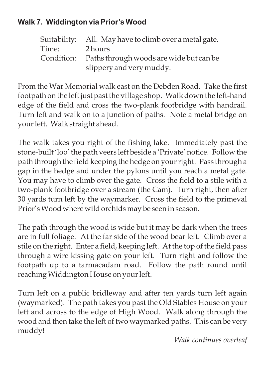## **Walk 7. Widdington via Prior's Wood**

|       | Suitability: All. May have to climb over a metal gate. |
|-------|--------------------------------------------------------|
| Time: | 2 hours                                                |
|       | Condition: Paths through woods are wide but can be     |
|       | slippery and very muddy.                               |

From the War Memorial walk east on the Debden Road. Take the first footpath on the left just past the village shop. Walk down the left-hand edge of the field and cross the two-plank footbridge with handrail. Turn left and walk on to a junction of paths. Note a metal bridge on your left. Walk straight ahead.

The walk takes you right of the fishing lake. Immediately past the stone-built 'loo' the path veers left beside a 'Private' notice. Follow the path through the field keeping the hedge on your right. Pass through a gap in the hedge and under the pylons until you reach a metal gate. You may have to climb over the gate. Cross the field to a stile with a two-plank footbridge over a stream (the Cam). Turn right, then after 30 yards turn left by the waymarker. Cross the field to the primeval Prior'sWood where wild orchids may be seen in season.

The path through the wood is wide but it may be dark when the trees are in full foliage. At the far side of the wood bear left. Climb over a stile on the right. Enter a field, keeping left. At the top of the field pass through a wire kissing gate on your left. Turn right and follow the footpath up to a tarmacadam road. Follow the path round until reachingWiddington House on your left.

Turn left on a public bridleway and after ten yards turn left again (waymarked). The path takes you past the Old Stables House on your left and across to the edge of High Wood. Walk along through the wood and then take the left of two waymarked paths. This can be very muddy!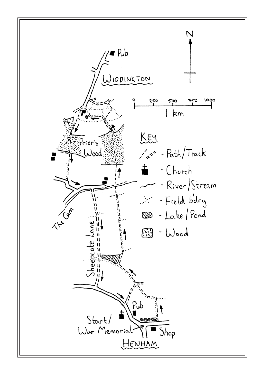